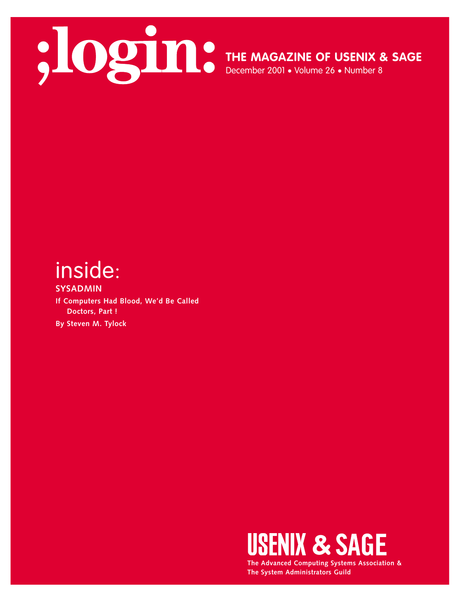

**THE MAGAZINE OF USENIX & SAGE**

December 2001 • Volume 26 • Number 8

## inside:

**SYSADMIN If Computers Had Blood, We'd Be Called Doctors, Part ! By Steven M. Tylock** 



**The Advanced Computing Systems Association & The System Administrators Guild**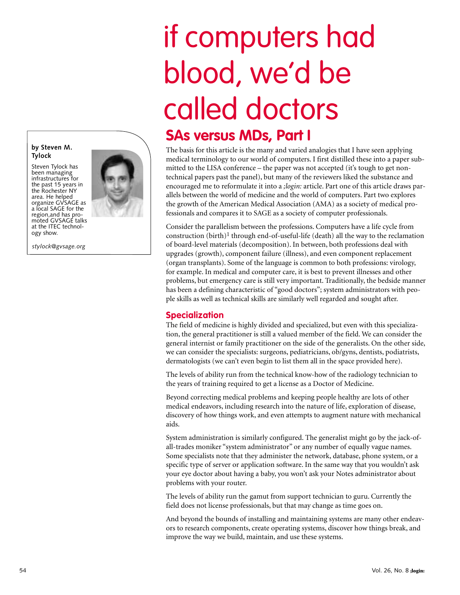# if computers had blood, we'd be called doctors

### **SAs versus MDs, Part I**

The basis for this article is the many and varied analogies that I have seen applying medical terminology to our world of computers. I first distilled these into a paper submitted to the LISA conference – the paper was not accepted (it's tough to get nontechnical papers past the panel), but many of the reviewers liked the substance and encouraged me to reformulate it into a *;login:* article. Part one of this article draws parallels between the world of medicine and the world of computers. Part two explores the growth of the American Medical Association (AMA) as a society of medical professionals and compares it to SAGE as a society of computer professionals.

Consider the parallelism between the professions. Computers have a life cycle from construction (birth)<sup>1</sup> through end-of-useful-life (death) all the way to the reclamation of board-level materials (decomposition). In between, both professions deal with upgrades (growth), component failure (illness), and even component replacement (organ transplants). Some of the language is common to both professions: virology, for example. In medical and computer care, it is best to prevent illnesses and other problems, but emergency care is still very important. Traditionally, the bedside manner has been a defining characteristic of "good doctors"; system administrators with people skills as well as technical skills are similarly well regarded and sought after.

#### **Specialization**

The field of medicine is highly divided and specialized, but even with this specialization, the general practitioner is still a valued member of the field. We can consider the general internist or family practitioner on the side of the generalists. On the other side, we can consider the specialists: surgeons, pediatricians, ob/gyns, dentists, podiatrists, dermatologists (we can't even begin to list them all in the space provided here).

The levels of ability run from the technical know-how of the radiology technician to the years of training required to get a license as a Doctor of Medicine.

Beyond correcting medical problems and keeping people healthy are lots of other medical endeavors, including research into the nature of life, exploration of disease, discovery of how things work, and even attempts to augment nature with mechanical aids.

System administration is similarly configured. The generalist might go by the jack-ofall-trades moniker "system administrator" or any number of equally vague names. Some specialists note that they administer the network, database, phone system, or a specific type of server or application software. In the same way that you wouldn't ask your eye doctor about having a baby, you won't ask your Notes administrator about problems with your router.

The levels of ability run the gamut from support technician to guru. Currently the field does not license professionals, but that may change as time goes on.

And beyond the bounds of installing and maintaining systems are many other endeavors to research components, create operating systems, discover how things break, and improve the way we build, maintain, and use these systems.

#### **by Steven M. Tylock**

Steven Tylock has been managing infrastructures for the past 15 years in the Rochester NY area. He helped organize GVSAGE as a local SAGE for the region,and has promoted GVSAGE talks at the ITEC technology show.

*stylock@gvsage.org* 

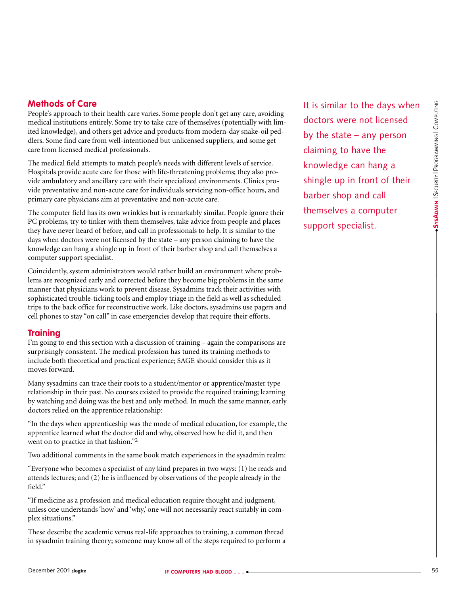People's approach to their health care varies. Some people don't get any care, avoiding medical institutions entirely. Some try to take care of themselves (potentially with limited knowledge), and others get advice and products from modern-day snake-oil peddlers. Some find care from well-intentioned but unlicensed suppliers, and some get care from licensed medical professionals.

The medical field attempts to match people's needs with different levels of service. Hospitals provide acute care for those with life-threatening problems; they also provide ambulatory and ancillary care with their specialized environments. Clinics provide preventative and non-acute care for individuals servicing non-office hours, and primary care physicians aim at preventative and non-acute care.

The computer field has its own wrinkles but is remarkably similar. People ignore their PC problems, try to tinker with them themselves, take advice from people and places they have never heard of before, and call in professionals to help. It is similar to the days when doctors were not licensed by the state – any person claiming to have the knowledge can hang a shingle up in front of their barber shop and call themselves a computer support specialist.

Coincidently, system administrators would rather build an environment where problems are recognized early and corrected before they become big problems in the same manner that physicians work to prevent disease. Sysadmins track their activities with sophisticated trouble-ticking tools and employ triage in the field as well as scheduled trips to the back office for reconstructive work. Like doctors, sysadmins use pagers and cell phones to stay "on call" in case emergencies develop that require their efforts.

#### **Training**

I'm going to end this section with a discussion of training – again the comparisons are surprisingly consistent. The medical profession has tuned its training methods to include both theoretical and practical experience; SAGE should consider this as it moves forward.

Many sysadmins can trace their roots to a student/mentor or apprentice/master type relationship in their past. No courses existed to provide the required training; learning by watching and doing was the best and only method. In much the same manner, early doctors relied on the apprentice relationship:

"In the days when apprenticeship was the mode of medical education, for example, the apprentice learned what the doctor did and why, observed how he did it, and then went on to practice in that fashion."2

Two additional comments in the same book match experiences in the sysadmin realm:

"Everyone who becomes a specialist of any kind prepares in two ways: (1) he reads and attends lectures; and (2) he is influenced by observations of the people already in the field"

"If medicine as a profession and medical education require thought and judgment, unless one understands 'how' and 'why,' one will not necessarily react suitably in complex situations."

These describe the academic versus real-life approaches to training, a common thread in sysadmin training theory; someone may know all of the steps required to perform a It is similar to the days when doctors were not licensed by the state – any person claiming to have the knowledge can hang a shingle up in front of their barber shop and call themselves a computer support specialist.